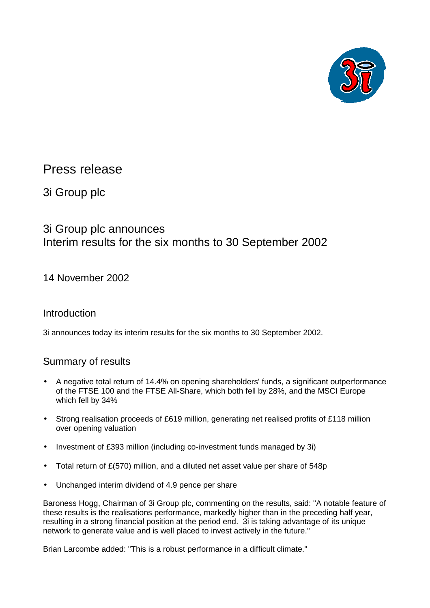

Press release

3i Group plc

# 3i Group plc announces Interim results for the six months to 30 September 2002

14 November 2002

# Introduction

3i announces today its interim results for the six months to 30 September 2002.

## Summary of results

- A negative total return of 14.4% on opening shareholders' funds, a significant outperformance of the FTSE 100 and the FTSE All-Share, which both fell by 28%, and the MSCI Europe which fell by 34%
- Strong realisation proceeds of £619 million, generating net realised profits of £118 million over opening valuation
- Investment of £393 million (including co-investment funds managed by 3i)
- Total return of £(570) million, and a diluted net asset value per share of 548p
- Unchanged interim dividend of 4.9 pence per share

Baroness Hogg, Chairman of 3i Group plc, commenting on the results, said: "A notable feature of these results is the realisations performance, markedly higher than in the preceding half year, resulting in a strong financial position at the period end. 3i is taking advantage of its unique network to generate value and is well placed to invest actively in the future."

Brian Larcombe added: "This is a robust performance in a difficult climate."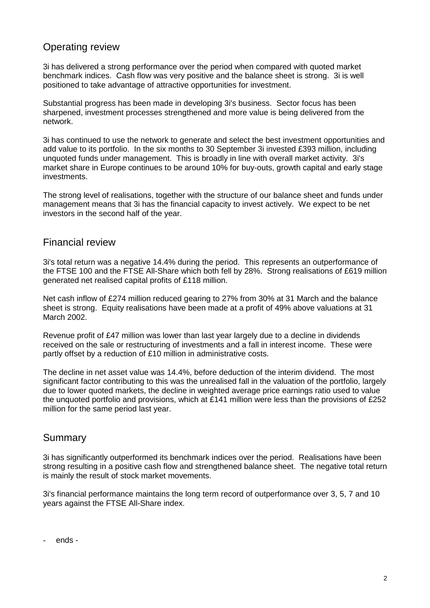# Operating review

3i has delivered a strong performance over the period when compared with quoted market benchmark indices. Cash flow was very positive and the balance sheet is strong. 3i is well positioned to take advantage of attractive opportunities for investment.

Substantial progress has been made in developing 3i's business. Sector focus has been sharpened, investment processes strengthened and more value is being delivered from the network.

3i has continued to use the network to generate and select the best investment opportunities and add value to its portfolio. In the six months to 30 September 3i invested £393 million, including unquoted funds under management. This is broadly in line with overall market activity. 3i's market share in Europe continues to be around 10% for buy-outs, growth capital and early stage investments.

The strong level of realisations, together with the structure of our balance sheet and funds under management means that 3i has the financial capacity to invest actively. We expect to be net investors in the second half of the year.

### Financial review

3i's total return was a negative 14.4% during the period. This represents an outperformance of the FTSE 100 and the FTSE All-Share which both fell by 28%. Strong realisations of £619 million generated net realised capital profits of £118 million.

Net cash inflow of £274 million reduced gearing to 27% from 30% at 31 March and the balance sheet is strong. Equity realisations have been made at a profit of 49% above valuations at 31 March 2002.

Revenue profit of £47 million was lower than last year largely due to a decline in dividends received on the sale or restructuring of investments and a fall in interest income. These were partly offset by a reduction of £10 million in administrative costs.

The decline in net asset value was 14.4%, before deduction of the interim dividend. The most significant factor contributing to this was the unrealised fall in the valuation of the portfolio, largely due to lower quoted markets, the decline in weighted average price earnings ratio used to value the unquoted portfolio and provisions, which at £141 million were less than the provisions of £252 million for the same period last year.

### Summary

3i has significantly outperformed its benchmark indices over the period. Realisations have been strong resulting in a positive cash flow and strengthened balance sheet. The negative total return is mainly the result of stock market movements.

3i's financial performance maintains the long term record of outperformance over 3, 5, 7 and 10 years against the FTSE All-Share index.

- ends -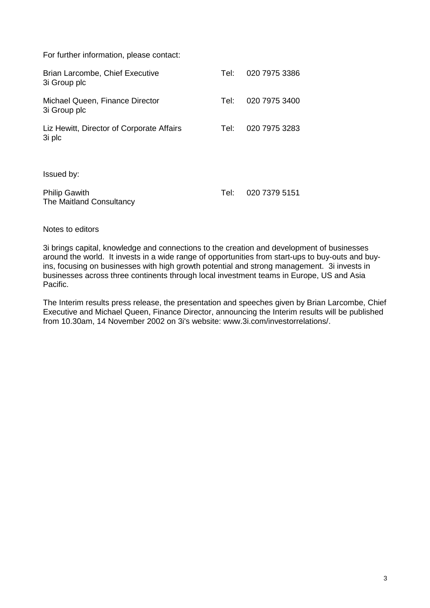For further information, please contact:

| Brian Larcombe, Chief Executive<br>3i Group plc     | Tel: | 020 7975 3386 |
|-----------------------------------------------------|------|---------------|
| Michael Queen, Finance Director<br>3i Group plc     | Tel: | 020 7975 3400 |
| Liz Hewitt, Director of Corporate Affairs<br>3i plc | Tel: | 020 7975 3283 |
| Issued by:                                          |      |               |
| <b>Philip Gawith</b><br>The Maitland Consultancy    | Tel: | 020 7379 5151 |

Notes to editors

3i brings capital, knowledge and connections to the creation and development of businesses around the world. It invests in a wide range of opportunities from start-ups to buy-outs and buyins, focusing on businesses with high growth potential and strong management. 3i invests in businesses across three continents through local investment teams in Europe, US and Asia Pacific.

The Interim results press release, the presentation and speeches given by Brian Larcombe, Chief Executive and Michael Queen, Finance Director, announcing the Interim results will be published from 10.30am, 14 November 2002 on 3i's website: www.3i.com/investorrelations/.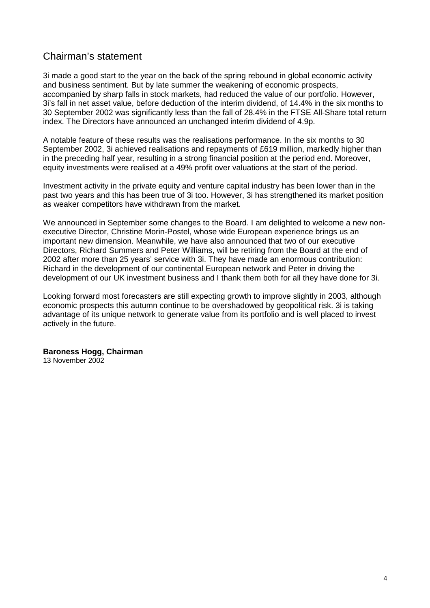## Chairman's statement

3i made a good start to the year on the back of the spring rebound in global economic activity and business sentiment. But by late summer the weakening of economic prospects, accompanied by sharp falls in stock markets, had reduced the value of our portfolio. However, 3i's fall in net asset value, before deduction of the interim dividend, of 14.4% in the six months to 30 September 2002 was significantly less than the fall of 28.4% in the FTSE All-Share total return index. The Directors have announced an unchanged interim dividend of 4.9p.

A notable feature of these results was the realisations performance. In the six months to 30 September 2002, 3i achieved realisations and repayments of £619 million, markedly higher than in the preceding half year, resulting in a strong financial position at the period end. Moreover, equity investments were realised at a 49% profit over valuations at the start of the period.

Investment activity in the private equity and venture capital industry has been lower than in the past two years and this has been true of 3i too. However, 3i has strengthened its market position as weaker competitors have withdrawn from the market.

We announced in September some changes to the Board. I am delighted to welcome a new nonexecutive Director, Christine Morin-Postel, whose wide European experience brings us an important new dimension. Meanwhile, we have also announced that two of our executive Directors, Richard Summers and Peter Williams, will be retiring from the Board at the end of 2002 after more than 25 years' service with 3i. They have made an enormous contribution: Richard in the development of our continental European network and Peter in driving the development of our UK investment business and I thank them both for all they have done for 3i.

Looking forward most forecasters are still expecting growth to improve slightly in 2003, although economic prospects this autumn continue to be overshadowed by geopolitical risk. 3i is taking advantage of its unique network to generate value from its portfolio and is well placed to invest actively in the future.

# **Baroness Hogg, Chairman**

13 November 2002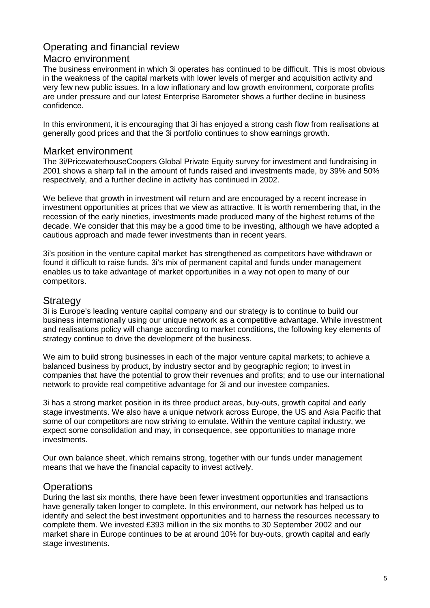# Operating and financial review

### Macro environment

The business environment in which 3i operates has continued to be difficult. This is most obvious in the weakness of the capital markets with lower levels of merger and acquisition activity and very few new public issues. In a low inflationary and low growth environment, corporate profits are under pressure and our latest Enterprise Barometer shows a further decline in business confidence.

In this environment, it is encouraging that 3i has enjoyed a strong cash flow from realisations at generally good prices and that the 3i portfolio continues to show earnings growth.

### Market environment

The 3i/PricewaterhouseCoopers Global Private Equity survey for investment and fundraising in 2001 shows a sharp fall in the amount of funds raised and investments made, by 39% and 50% respectively, and a further decline in activity has continued in 2002.

We believe that growth in investment will return and are encouraged by a recent increase in investment opportunities at prices that we view as attractive. It is worth remembering that, in the recession of the early nineties, investments made produced many of the highest returns of the decade. We consider that this may be a good time to be investing, although we have adopted a cautious approach and made fewer investments than in recent years.

3i's position in the venture capital market has strengthened as competitors have withdrawn or found it difficult to raise funds. 3i's mix of permanent capital and funds under management enables us to take advantage of market opportunities in a way not open to many of our competitors.

# **Strategy**

3i is Europe's leading venture capital company and our strategy is to continue to build our business internationally using our unique network as a competitive advantage. While investment and realisations policy will change according to market conditions, the following key elements of strategy continue to drive the development of the business.

We aim to build strong businesses in each of the major venture capital markets; to achieve a balanced business by product, by industry sector and by geographic region; to invest in companies that have the potential to grow their revenues and profits; and to use our international network to provide real competitive advantage for 3i and our investee companies.

3i has a strong market position in its three product areas, buy-outs, growth capital and early stage investments. We also have a unique network across Europe, the US and Asia Pacific that some of our competitors are now striving to emulate. Within the venture capital industry, we expect some consolidation and may, in consequence, see opportunities to manage more investments.

Our own balance sheet, which remains strong, together with our funds under management means that we have the financial capacity to invest actively.

## **Operations**

During the last six months, there have been fewer investment opportunities and transactions have generally taken longer to complete. In this environment, our network has helped us to identify and select the best investment opportunities and to harness the resources necessary to complete them. We invested £393 million in the six months to 30 September 2002 and our market share in Europe continues to be at around 10% for buy-outs, growth capital and early stage investments.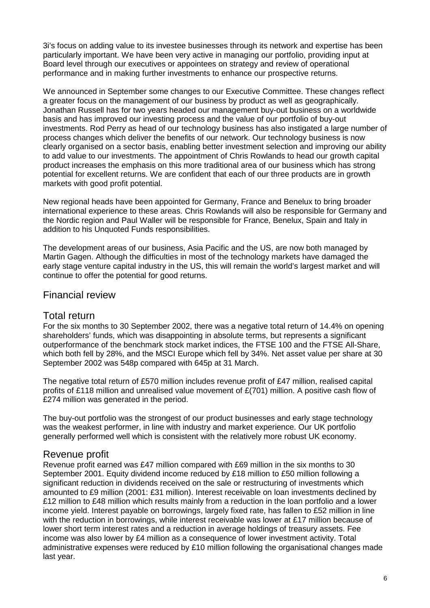3i's focus on adding value to its investee businesses through its network and expertise has been particularly important. We have been very active in managing our portfolio, providing input at Board level through our executives or appointees on strategy and review of operational performance and in making further investments to enhance our prospective returns.

We announced in September some changes to our Executive Committee. These changes reflect a greater focus on the management of our business by product as well as geographically. Jonathan Russell has for two years headed our management buy-out business on a worldwide basis and has improved our investing process and the value of our portfolio of buy-out investments. Rod Perry as head of our technology business has also instigated a large number of process changes which deliver the benefits of our network. Our technology business is now clearly organised on a sector basis, enabling better investment selection and improving our ability to add value to our investments. The appointment of Chris Rowlands to head our growth capital product increases the emphasis on this more traditional area of our business which has strong potential for excellent returns. We are confident that each of our three products are in growth markets with good profit potential.

New regional heads have been appointed for Germany, France and Benelux to bring broader international experience to these areas. Chris Rowlands will also be responsible for Germany and the Nordic region and Paul Waller will be responsible for France, Benelux, Spain and Italy in addition to his Unquoted Funds responsibilities.

The development areas of our business, Asia Pacific and the US, are now both managed by Martin Gagen. Although the difficulties in most of the technology markets have damaged the early stage venture capital industry in the US, this will remain the world's largest market and will continue to offer the potential for good returns.

### Financial review

### Total return

For the six months to 30 September 2002, there was a negative total return of 14.4% on opening shareholders' funds, which was disappointing in absolute terms, but represents a significant outperformance of the benchmark stock market indices, the FTSE 100 and the FTSE All-Share, which both fell by 28%, and the MSCI Europe which fell by 34%. Net asset value per share at 30 September 2002 was 548p compared with 645p at 31 March.

The negative total return of £570 million includes revenue profit of £47 million, realised capital profits of £118 million and unrealised value movement of £(701) million. A positive cash flow of £274 million was generated in the period.

The buy-out portfolio was the strongest of our product businesses and early stage technology was the weakest performer, in line with industry and market experience. Our UK portfolio generally performed well which is consistent with the relatively more robust UK economy.

### Revenue profit

Revenue profit earned was £47 million compared with £69 million in the six months to 30 September 2001. Equity dividend income reduced by £18 million to £50 million following a significant reduction in dividends received on the sale or restructuring of investments which amounted to £9 million (2001: £31 million). Interest receivable on loan investments declined by £12 million to £48 million which results mainly from a reduction in the loan portfolio and a lower income yield. Interest payable on borrowings, largely fixed rate, has fallen to £52 million in line with the reduction in borrowings, while interest receivable was lower at £17 million because of lower short term interest rates and a reduction in average holdings of treasury assets. Fee income was also lower by £4 million as a consequence of lower investment activity. Total administrative expenses were reduced by £10 million following the organisational changes made last year.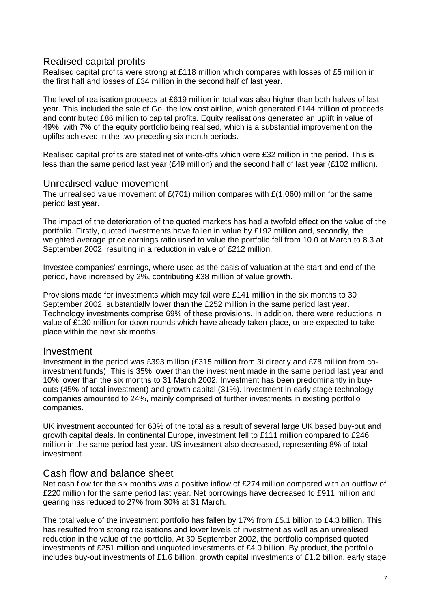### Realised capital profits

Realised capital profits were strong at £118 million which compares with losses of £5 million in the first half and losses of £34 million in the second half of last year.

The level of realisation proceeds at £619 million in total was also higher than both halves of last year. This included the sale of Go, the low cost airline, which generated £144 million of proceeds and contributed £86 million to capital profits. Equity realisations generated an uplift in value of 49%, with 7% of the equity portfolio being realised, which is a substantial improvement on the uplifts achieved in the two preceding six month periods.

Realised capital profits are stated net of write-offs which were £32 million in the period. This is less than the same period last year (£49 million) and the second half of last year (£102 million).

### Unrealised value movement

The unrealised value movement of  $E(701)$  million compares with  $E(1,060)$  million for the same period last year.

The impact of the deterioration of the quoted markets has had a twofold effect on the value of the portfolio. Firstly, quoted investments have fallen in value by £192 million and, secondly, the weighted average price earnings ratio used to value the portfolio fell from 10.0 at March to 8.3 at September 2002, resulting in a reduction in value of £212 million.

Investee companies' earnings, where used as the basis of valuation at the start and end of the period, have increased by 2%, contributing £38 million of value growth.

Provisions made for investments which may fail were £141 million in the six months to 30 September 2002, substantially lower than the £252 million in the same period last year. Technology investments comprise 69% of these provisions. In addition, there were reductions in value of £130 million for down rounds which have already taken place, or are expected to take place within the next six months.

### Investment

Investment in the period was £393 million (£315 million from 3i directly and £78 million from coinvestment funds). This is 35% lower than the investment made in the same period last year and 10% lower than the six months to 31 March 2002. Investment has been predominantly in buyouts (45% of total investment) and growth capital (31%). Investment in early stage technology companies amounted to 24%, mainly comprised of further investments in existing portfolio companies.

UK investment accounted for 63% of the total as a result of several large UK based buy-out and growth capital deals. In continental Europe, investment fell to £111 million compared to £246 million in the same period last year. US investment also decreased, representing 8% of total investment.

### Cash flow and balance sheet

Net cash flow for the six months was a positive inflow of £274 million compared with an outflow of £220 million for the same period last year. Net borrowings have decreased to £911 million and gearing has reduced to 27% from 30% at 31 March.

The total value of the investment portfolio has fallen by 17% from £5.1 billion to £4.3 billion. This has resulted from strong realisations and lower levels of investment as well as an unrealised reduction in the value of the portfolio. At 30 September 2002, the portfolio comprised quoted investments of £251 million and unquoted investments of £4.0 billion. By product, the portfolio includes buy-out investments of £1.6 billion, growth capital investments of £1.2 billion, early stage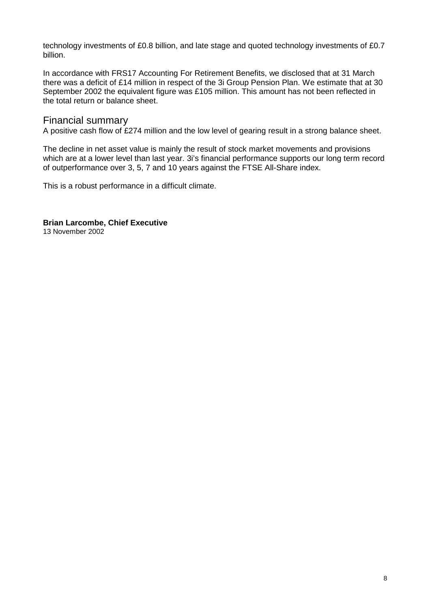technology investments of £0.8 billion, and late stage and quoted technology investments of £0.7 billion.

In accordance with FRS17 Accounting For Retirement Benefits, we disclosed that at 31 March there was a deficit of £14 million in respect of the 3i Group Pension Plan. We estimate that at 30 September 2002 the equivalent figure was £105 million. This amount has not been reflected in the total return or balance sheet.

#### Financial summary

A positive cash flow of £274 million and the low level of gearing result in a strong balance sheet.

The decline in net asset value is mainly the result of stock market movements and provisions which are at a lower level than last year. 3i's financial performance supports our long term record of outperformance over 3, 5, 7 and 10 years against the FTSE All-Share index.

This is a robust performance in a difficult climate.

**Brian Larcombe, Chief Executive**

13 November 2002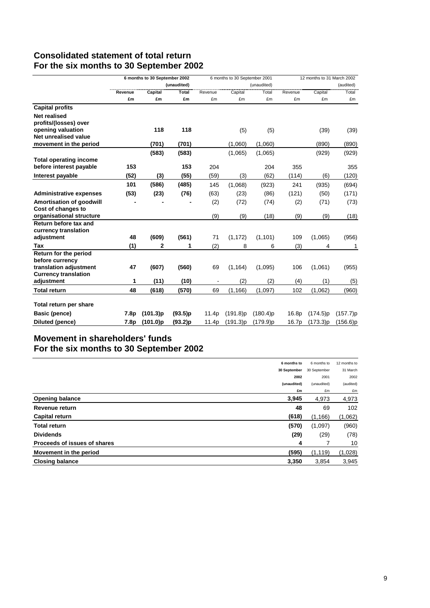### **Consolidated statement of total return For the six months to 30 September 2002**

|                                           | 6 months to 30 September 2002 |                |             | 6 months to 30 September 2001 |          |             | 12 months to 31 March 2002 |          |           |  |
|-------------------------------------------|-------------------------------|----------------|-------------|-------------------------------|----------|-------------|----------------------------|----------|-----------|--|
|                                           |                               |                | (unaudited) |                               |          | (unaudited) |                            |          | (audited) |  |
|                                           | Revenue                       | Capital        | Total       | Revenue                       | Capital  | Total       | Revenue                    | Capital  | Total     |  |
|                                           | £m                            | £m             | £m          | £m                            | £m       | £m          | £m                         | £m       | £m        |  |
| <b>Capital profits</b>                    |                               |                |             |                               |          |             |                            |          |           |  |
| <b>Net realised</b>                       |                               |                |             |                               |          |             |                            |          |           |  |
| profits/(losses) over                     |                               |                |             |                               |          |             |                            |          |           |  |
| opening valuation                         |                               | 118            | 118         |                               | (5)      | (5)         |                            | (39)     | (39)      |  |
| Net unrealised value                      |                               |                |             |                               |          |             |                            |          |           |  |
| movement in the period                    |                               | (701)          | (701)       |                               | (1,060)  | (1,060)     |                            | (890)    | (890)     |  |
|                                           |                               | (583)          | (583)       |                               | (1,065)  | (1,065)     |                            | (929)    | (929)     |  |
| <b>Total operating income</b>             |                               |                |             |                               |          |             |                            |          |           |  |
| before interest payable                   | 153                           |                | 153         | 204                           |          | 204         | 355                        |          | 355       |  |
| Interest payable                          | (52)                          | (3)            | (55)        | (59)                          | (3)      | (62)        | (114)                      | (6)      | (120)     |  |
|                                           | 101                           | (586)          | (485)       | 145                           | (1,068)  | (923)       | 241                        | (935)    | (694)     |  |
| <b>Administrative expenses</b>            | (53)                          | (23)           | (76)        | (63)                          | (23)     | (86)        | (121)                      | (50)     | (171)     |  |
| Amortisation of goodwill                  |                               |                |             | (2)                           | (72)     | (74)        | (2)                        | (71)     | (73)      |  |
| Cost of changes to                        |                               |                |             |                               |          |             |                            |          |           |  |
| organisational structure                  |                               |                |             | (9)                           | (9)      | (18)        | (9)                        | (9)      | (18)      |  |
| Return before tax and                     |                               |                |             |                               |          |             |                            |          |           |  |
| currency translation                      |                               |                |             |                               |          |             |                            |          |           |  |
| adjustment                                | 48                            | (609)          | (561)       | 71                            | (1, 172) | (1, 101)    | 109                        | (1,065)  | (956)     |  |
| Tax                                       | (1)                           | $\overline{2}$ | 1           | (2)                           | 8        | 6           | (3)                        | 4        | 1         |  |
| Return for the period                     |                               |                |             |                               |          |             |                            |          |           |  |
| before currency                           |                               |                |             |                               |          |             |                            |          |           |  |
| translation adjustment                    | 47                            | (607)          | (560)       | 69                            | (1, 164) | (1,095)     | 106                        | (1,061)  | (955)     |  |
| <b>Currency translation</b><br>adjustment | 1                             | (11)           | (10)        | $\overline{a}$                | (2)      | (2)         | (4)                        | (1)      | (5)       |  |
|                                           |                               |                |             |                               |          |             |                            |          |           |  |
| <b>Total return</b>                       | 48                            | (618)          | (570)       | 69                            | (1, 166) | (1,097)     | 102                        | (1,062)  | (960)     |  |
| Total return per share                    |                               |                |             |                               |          |             |                            |          |           |  |
| Basic (pence)                             | 7.8p                          | (101.3)p       | (93.5)p     | 11.4p                         | (191.8)p | (180.4)p    | 16.8p                      | (174.5)p | (157.7)p  |  |
| <b>Diluted (pence)</b>                    | 7.8p                          | (101.0)p       | (93.2)p     | 11.4p                         | (191.3)p | (179.9)p    | 16.7p                      | (173.3)p | (156.6)p  |  |

# **Movement in shareholders' funds For the six months to 30 September 2002**

|                              | 6 months to  | 6 months to  | 12 months to |
|------------------------------|--------------|--------------|--------------|
|                              | 30 September | 30 September | 31 March     |
|                              | 2002         | 2001         | 2002         |
|                              | (unaudited)  | (unaudited)  | (audited)    |
|                              | £m           | £m           | £m           |
| <b>Opening balance</b>       | 3,945        | 4,973        | 4,973        |
| Revenue return               | 48           | 69           | 102          |
| <b>Capital return</b>        | (618)        | (1, 166)     | (1,062)      |
| <b>Total return</b>          | (570)        | (1,097)      | (960)        |
| <b>Dividends</b>             | (29)         | (29)         | (78)         |
| Proceeds of issues of shares | 4            |              | 10           |
| Movement in the period       | (595)        | (1, 119)     | (1,028)      |
| <b>Closing balance</b>       | 3,350        | 3,854        | 3,945        |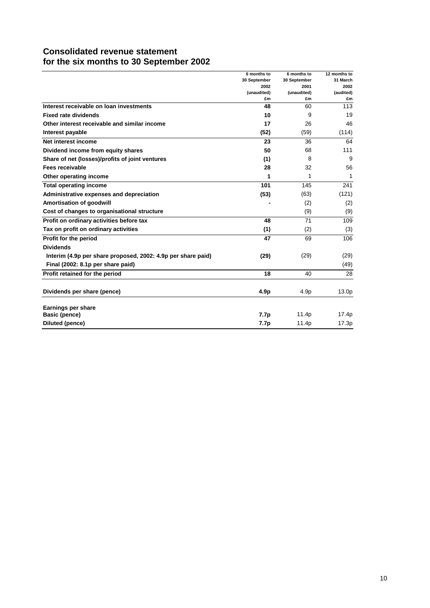### **Consolidated revenue statement for the six months to 30 September 2002**

|                                                              | 6 months to      | 6 months to  | 12 months to |
|--------------------------------------------------------------|------------------|--------------|--------------|
|                                                              | 30 September     | 30 September | 31 March     |
|                                                              | 2002             | 2001         | 2002         |
|                                                              | (unaudited)      | (unaudited)  | (audited)    |
|                                                              | £m               | £m           | £m           |
| Interest receivable on loan investments                      | 48               | 60           | 113          |
| <b>Fixed rate dividends</b>                                  | 10               | 9            | 19           |
| Other interest receivable and similar income                 | 17               | 26           | 46           |
| Interest payable                                             | (52)             | (59)         | (114)        |
| Net interest income                                          | 23               | 36           | 64           |
| Dividend income from equity shares                           | 50               | 68           | 111          |
| Share of net (losses)/profits of joint ventures              | (1)              | 8            | 9            |
| Fees receivable                                              | 28               | 32           | 56           |
| Other operating income                                       | 1                | 1            | $\mathbf{1}$ |
| <b>Total operating income</b>                                | 101              | 145          | 241          |
| Administrative expenses and depreciation                     | (53)             | (63)         | (121)        |
| Amortisation of goodwill                                     |                  | (2)          | (2)          |
| Cost of changes to organisational structure                  |                  | (9)          | (9)          |
| Profit on ordinary activities before tax                     | 48               | 71           | 109          |
| Tax on profit on ordinary activities                         | (1)              | (2)          | (3)          |
| Profit for the period                                        | 47               | 69           | 106          |
| <b>Dividends</b>                                             |                  |              |              |
| Interim (4.9p per share proposed, 2002: 4.9p per share paid) | (29)             | (29)         | (29)         |
| Final (2002: 8.1p per share paid)                            |                  |              | (49)         |
| Profit retained for the period                               | 18               | 40           | 28           |
| Dividends per share (pence)                                  | 4.9 <sub>p</sub> | 4.9p         | 13.0p        |
| Earnings per share                                           |                  |              |              |
| Basic (pence)                                                | 7.7p             | 11.4p        | 17.4p        |
| <b>Diluted (pence)</b>                                       | 7.7p             | 11.4p        | 17.3p        |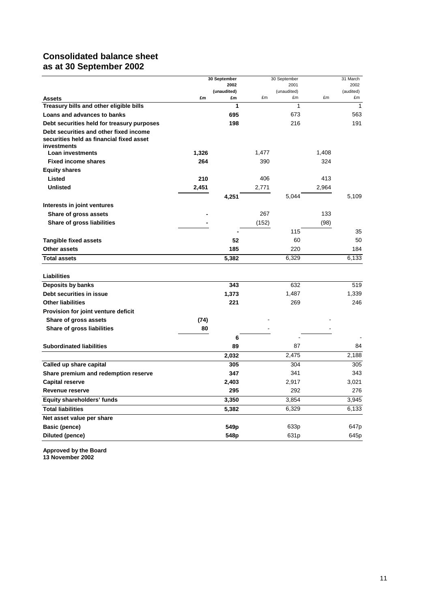### **Consolidated balance sheet as at 30 September 2002**

|                                                         | 30 September |                   |       | 30 September      |       | 31 March         |
|---------------------------------------------------------|--------------|-------------------|-------|-------------------|-------|------------------|
|                                                         |              | 2002              |       | 2001              |       | 2002             |
| <b>Assets</b>                                           | £m           | (unaudited)<br>£m | £m    | (unaudited)<br>£m | £m    | (audited)<br>£m  |
| Treasury bills and other eligible bills                 |              | 1                 |       | 1                 |       | 1                |
| Loans and advances to banks                             |              | 695               |       | 673               |       | 563              |
| Debt securities held for treasury purposes              |              | 198               |       | 216               |       | 191              |
| Debt securities and other fixed income                  |              |                   |       |                   |       |                  |
| securities held as financial fixed asset<br>investments |              |                   |       |                   |       |                  |
| Loan investments                                        | 1,326        |                   | 1,477 |                   | 1,408 |                  |
| <b>Fixed income shares</b>                              | 264          |                   | 390   |                   | 324   |                  |
| <b>Equity shares</b>                                    |              |                   |       |                   |       |                  |
| Listed                                                  | 210          |                   | 406   |                   | 413   |                  |
| <b>Unlisted</b>                                         | 2,451        |                   | 2,771 |                   | 2,964 |                  |
|                                                         |              | 4,251             |       | 5,044             |       | 5,109            |
| Interests in joint ventures                             |              |                   |       |                   |       |                  |
| Share of gross assets                                   |              |                   | 267   |                   | 133   |                  |
| Share of gross liabilities                              |              |                   | (152) |                   | (98)  |                  |
|                                                         |              |                   |       | 115               |       | 35               |
| <b>Tangible fixed assets</b>                            |              | 52                |       | 60                |       | 50               |
| <b>Other assets</b>                                     |              | 185               |       | 220               |       | 184              |
| <b>Total assets</b>                                     |              | 5,382             |       | 6,329             |       | 6,133            |
|                                                         |              |                   |       |                   |       |                  |
| Liabilities                                             |              |                   |       |                   |       |                  |
| Deposits by banks                                       |              | 343               |       | 632               |       | 519              |
| Debt securities in issue                                |              | 1,373             |       | 1,487             |       | 1,339            |
| <b>Other liabilities</b>                                |              | 221               |       | 269               |       | 246              |
| Provision for joint venture deficit                     |              |                   |       |                   |       |                  |
| Share of gross assets                                   | (74)         |                   |       |                   |       |                  |
| Share of gross liabilities                              | 80           |                   |       |                   |       |                  |
|                                                         |              | 6                 |       |                   |       |                  |
| <b>Subordinated liabilities</b>                         |              | 89                |       | 87                |       | 84               |
|                                                         |              | 2,032             |       | 2,475             |       | 2,188            |
| Called up share capital                                 |              | 305               |       | 304               |       | 305              |
| Share premium and redemption reserve                    |              | 347               |       | 341               |       | 343              |
| <b>Capital reserve</b>                                  |              | 2,403             |       | 2,917             |       | 3,021            |
| Revenue reserve                                         |              | 295               |       | 292               |       | 276              |
| Equity shareholders' funds                              |              | 3,350             |       | 3,854             |       | 3,945            |
| <b>Total liabilities</b>                                |              | 5,382             |       | 6,329             |       | 6,133            |
| Net asset value per share                               |              |                   |       |                   |       |                  |
| Basic (pence)                                           |              | 549p              |       | 633p              |       | 647 <sub>p</sub> |
| Diluted (pence)                                         |              | 548p              |       | 631 <sub>p</sub>  |       | 645p             |

**Approved by the Board 13 November 2002**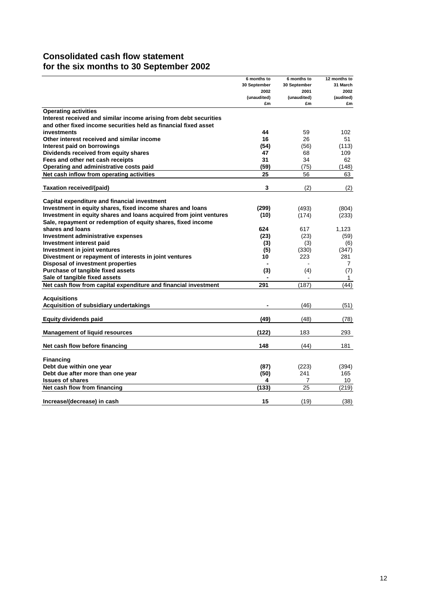## **Consolidated cash flow statement for the six months to 30 September 2002**

|                                                                    | 6 months to  | 6 months to  | 12 months to |
|--------------------------------------------------------------------|--------------|--------------|--------------|
|                                                                    | 30 September | 30 September | 31 March     |
|                                                                    | 2002         | 2001         | 2002         |
|                                                                    | (unaudited)  | (unaudited)  | (audited)    |
|                                                                    | £m           | £m           | £m           |
| <b>Operating activities</b>                                        |              |              |              |
| Interest received and similar income arising from debt securities  |              |              |              |
| and other fixed income securities held as financial fixed asset    |              |              |              |
| investments                                                        | 44           | 59           | 102          |
| Other interest received and similar income                         | 16           | 26           | 51           |
| Interest paid on borrowings                                        | (54)         | (56)         | (113)        |
| Dividends received from equity shares                              | 47           | 68           | 109          |
| Fees and other net cash receipts                                   | 31           | 34           | 62           |
| Operating and administrative costs paid                            | (59)         | (75)         | (148)        |
| Net cash inflow from operating activities                          | 25           | 56           | 63           |
|                                                                    |              |              |              |
| Taxation received/(paid)                                           | 3            | (2)          | (2)          |
| Capital expenditure and financial investment                       |              |              |              |
| Investment in equity shares, fixed income shares and loans         | (299)        | (493)        | (804)        |
| Investment in equity shares and loans acquired from joint ventures | (10)         | (174)        | (233)        |
| Sale, repayment or redemption of equity shares, fixed income       |              |              |              |
| shares and loans                                                   | 624          | 617          | 1,123        |
| Investment administrative expenses                                 | (23)         | (23)         |              |
|                                                                    |              |              | (59)         |
| Investment interest paid                                           | (3)          | (3)          | (6)          |
| Investment in joint ventures                                       | (5)          | (330)<br>223 | (347)<br>281 |
| Divestment or repayment of interests in joint ventures             | 10           |              |              |
| Disposal of investment properties                                  |              |              | 7            |
| Purchase of tangible fixed assets                                  | (3)          | (4)          | (7)          |
| Sale of tangible fixed assets                                      |              |              | 1            |
| Net cash flow from capital expenditure and financial investment    | 291          | (187)        | (44)         |
| <b>Acquisitions</b>                                                |              |              |              |
| Acquisition of subsidiary undertakings                             |              | (46)         | (51)         |
|                                                                    |              |              |              |
| Equity dividends paid                                              | (49)         | (48)         | (78)         |
| <b>Management of liquid resources</b>                              | (122)        | 183          | 293          |
|                                                                    |              |              |              |
| Net cash flow before financing                                     | 148          | (44)         | 181          |
|                                                                    |              |              |              |
| <b>Financing</b>                                                   |              |              |              |
| Debt due within one year                                           | (87)         | (223)        | (394)        |
| Debt due after more than one year                                  | (50)         | 241          | 165          |
| <b>Issues of shares</b>                                            | 4            | 7            | 10           |
| Net cash flow from financing                                       | (133)        | 25           | (219)        |
|                                                                    |              |              |              |
| Increase/(decrease) in cash                                        | 15           | (19)         | (38)         |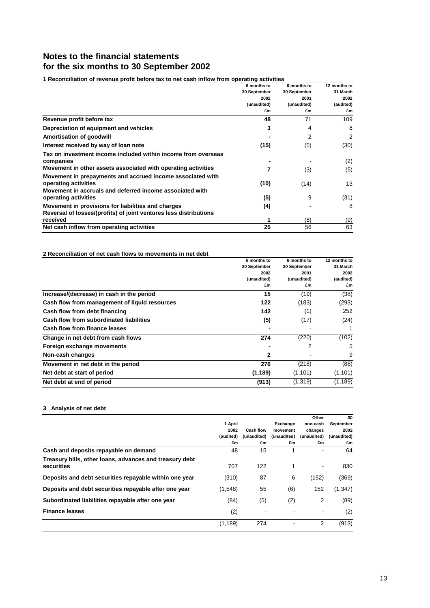### **Notes to the financial statements for the six months to 30 September 2002**

**1 Reconciliation of revenue profit before tax to net cash inflow from operating activities**

|                                                                   | 6 months to  | 6 months to  | 12 months to |
|-------------------------------------------------------------------|--------------|--------------|--------------|
|                                                                   | 30 September | 30 September | 31 March     |
|                                                                   | 2002         | 2001         | 2002         |
|                                                                   | (unaudited)  | (unaudited)  | (audited)    |
|                                                                   | £m           | £m           | £m           |
| Revenue profit before tax                                         | 48           | 71           | 109          |
| Depreciation of equipment and vehicles                            | 3            | 4            | 8            |
| Amortisation of goodwill                                          |              | 2            | 2            |
| Interest received by way of loan note                             | (15)         | (5)          | (30)         |
| Tax on investment income included within income from overseas     |              |              |              |
| companies                                                         |              |              | (2)          |
| Movement in other assets associated with operating activities     | 7            | (3)          | (5)          |
| Movement in prepayments and accrued income associated with        |              |              |              |
| operating activities                                              | (10)         | (14)         | 13           |
| Movement in accruals and deferred income associated with          |              |              |              |
| operating activities                                              | (5)          | 9            | (31)         |
| Movement in provisions for liabilities and charges                | (4)          |              | 8            |
| Reversal of losses/(profits) of joint ventures less distributions |              |              |              |
| received                                                          | 1            | (8)          | (9)          |
| Net cash inflow from operating activities                         | 25           | 56           | 63           |

#### **2 Reconciliation of net cash flows to movements in net debt**

|                                               | 6 months to  | 6 months to  | 12 months to |
|-----------------------------------------------|--------------|--------------|--------------|
|                                               | 30 September | 30 September | 31 March     |
|                                               | 2002         | 2001         | 2002         |
|                                               | (unaudited)  | (unaudited)  | (audited)    |
|                                               | £m           | £m           | £m           |
| Increase/(decrease) in cash in the period     | 15           | (19)         | (38)         |
| Cash flow from management of liquid resources | 122          | (183)        | (293)        |
| Cash flow from debt financing                 | 142          | (1)          | 252          |
| Cash flow from subordinated liabilities       | (5)          | (17)         | (24)         |
| Cash flow from finance leases                 |              |              |              |
| Change in net debt from cash flows            | 274          | (220)        | (102)        |
| Foreign exchange movements                    |              | 2            | 5            |
| Non-cash changes                              | $\mathbf{2}$ |              | 9            |
| Movement in net debt in the period            | 276          | (218)        | (88)         |
| Net debt at start of period                   | (1, 189)     | (1, 101)     | (1, 101)     |
| Net debt at end of period                     | (913)        | (1,319)      | (1, 189)     |
|                                               |              |              |              |

#### **3 Analysis of net debt**

|                                                         |           |                  |             | Other          | 30          |
|---------------------------------------------------------|-----------|------------------|-------------|----------------|-------------|
|                                                         | 1 April   |                  | Exchange    | non-cash       | September   |
|                                                         | 2002      | <b>Cash flow</b> | movement    | changes        | 2002        |
|                                                         | (audited) | (unaudited)      | (unaudited) | (unaudited)    | (unaudited) |
|                                                         | £m        | £m               | £m          | £m             | £m          |
| Cash and deposits repayable on demand                   | 48        | 15               |             |                | 64          |
| Treasury bills, other loans, advances and treasury debt |           |                  |             |                |             |
| securities                                              | 707       | 122              | 1           |                | 830         |
| Deposits and debt securities repayable within one year  | (310)     | 87               | 6           | (152)          | (369)       |
| Deposits and debt securities repayable after one year   | (1,548)   | 55               | (6)         | 152            | (1,347)     |
|                                                         |           |                  |             |                |             |
| Subordinated liabilities repayable after one year       | (84)      | (5)              | (2)         | $\overline{2}$ | (89)        |
| <b>Finance leases</b>                                   | (2)       |                  |             |                | (2)         |
|                                                         | (1, 189)  | 274              |             | 2              | (913)       |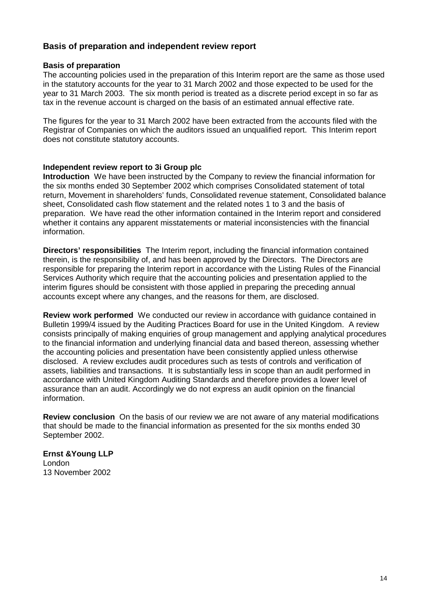### **Basis of preparation and independent review report**

#### **Basis of preparation**

The accounting policies used in the preparation of this Interim report are the same as those used in the statutory accounts for the year to 31 March 2002 and those expected to be used for the year to 31 March 2003. The six month period is treated as a discrete period except in so far as tax in the revenue account is charged on the basis of an estimated annual effective rate.

The figures for the year to 31 March 2002 have been extracted from the accounts filed with the Registrar of Companies on which the auditors issued an unqualified report. This Interim report does not constitute statutory accounts.

#### **Independent review report to 3i Group plc**

**Introduction** We have been instructed by the Company to review the financial information for the six months ended 30 September 2002 which comprises Consolidated statement of total return, Movement in shareholders' funds, Consolidated revenue statement, Consolidated balance sheet, Consolidated cash flow statement and the related notes 1 to 3 and the basis of preparation. We have read the other information contained in the Interim report and considered whether it contains any apparent misstatements or material inconsistencies with the financial information.

**Directors' responsibilities** The Interim report, including the financial information contained therein, is the responsibility of, and has been approved by the Directors. The Directors are responsible for preparing the Interim report in accordance with the Listing Rules of the Financial Services Authority which require that the accounting policies and presentation applied to the interim figures should be consistent with those applied in preparing the preceding annual accounts except where any changes, and the reasons for them, are disclosed.

**Review work performed** We conducted our review in accordance with guidance contained in Bulletin 1999/4 issued by the Auditing Practices Board for use in the United Kingdom. A review consists principally of making enquiries of group management and applying analytical procedures to the financial information and underlying financial data and based thereon, assessing whether the accounting policies and presentation have been consistently applied unless otherwise disclosed. A review excludes audit procedures such as tests of controls and verification of assets, liabilities and transactions. It is substantially less in scope than an audit performed in accordance with United Kingdom Auditing Standards and therefore provides a lower level of assurance than an audit. Accordingly we do not express an audit opinion on the financial information.

**Review conclusion** On the basis of our review we are not aware of any material modifications that should be made to the financial information as presented for the six months ended 30 September 2002.

**Ernst &Young LLP** London 13 November 2002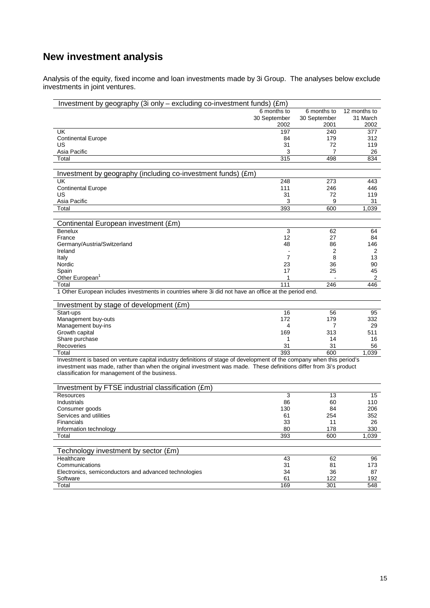# **New investment analysis**

Analysis of the equity, fixed income and loan investments made by 3i Group. The analyses below exclude investments in joint ventures.

| Investment by geography (3i only - excluding co-investment funds) (£m)                                                |                |              |              |
|-----------------------------------------------------------------------------------------------------------------------|----------------|--------------|--------------|
|                                                                                                                       | 6 months to    | 6 months to  | 12 months to |
|                                                                                                                       | 30 September   | 30 September | 31 March     |
|                                                                                                                       | 2002           | 2001         | 2002         |
| UK                                                                                                                    | 197            | 240          | 377          |
| <b>Continental Europe</b>                                                                                             | 84             | 179          | 312          |
| US                                                                                                                    | 31             | 72           | 119          |
| Asia Pacific                                                                                                          | 3              | 7            | 26           |
| Total                                                                                                                 | 315            | 498          | 834          |
| Investment by geography (including co-investment funds) (£m)                                                          |                |              |              |
| UK                                                                                                                    | 248            | 273          | 443          |
| <b>Continental Europe</b>                                                                                             | 111            | 246          | 446          |
| US                                                                                                                    | 31             | 72           | 119          |
| Asia Pacific                                                                                                          | 3              | 9            | 31           |
| Total                                                                                                                 | 393            | 600          | 1,039        |
|                                                                                                                       |                |              |              |
| Continental European investment (£m)                                                                                  |                |              |              |
| <b>Benelux</b>                                                                                                        | 3              | 62           | 64           |
| France                                                                                                                | 12             | 27           | 84           |
| Germany/Austria/Switzerland                                                                                           | 48             | 86           | 146          |
| Ireland                                                                                                               |                | 2            | 2            |
| Italy                                                                                                                 | $\overline{7}$ | 8            | 13           |
| Nordic                                                                                                                | 23             | 36           | 90           |
| Spain                                                                                                                 | 17             | 25           | 45           |
| Other European <sup>1</sup>                                                                                           | 1              |              | 2            |
| Total<br>1 Other European includes investments in countries where 3i did not have an office at the period end.        | 111            | 246          | 446          |
|                                                                                                                       |                |              |              |
| Investment by stage of development (£m)                                                                               |                |              |              |
| Start-ups                                                                                                             | 16             | 56           | 95           |
| Management buy-outs                                                                                                   | 172            | 179          | 332          |
| Management buy-ins                                                                                                    | 4              | 7            | 29           |
| Growth capital                                                                                                        | 169            | 313          | 511          |
| Share purchase                                                                                                        | 1              | 14           | 16           |
| Recoveries                                                                                                            | 31             | 31           | 56           |
| Total                                                                                                                 | 393            | 600          | 1,039        |
| Investment is based on venture capital industry definitions of stage of development of the company when this period's |                |              |              |
| investment was made, rather than when the original investment was made. These definitions differ from 3i's product    |                |              |              |
| classification for management of the business.                                                                        |                |              |              |
| Investment by FTSE industrial classification (£m)                                                                     |                |              |              |
| Resources                                                                                                             |                |              |              |
| Industrials                                                                                                           | 3<br>86        | 13<br>60     | 15<br>110    |
| Consumer goods                                                                                                        | 130            | 84           | 206          |
| Services and utilities                                                                                                | 61             | 254          | 352          |
| Financials                                                                                                            | 33             | 11           | 26           |
| Information technology                                                                                                | 80             | 178          | 330          |
| Total                                                                                                                 | 393            | 600          | 1,039        |
|                                                                                                                       |                |              |              |
| Technology investment by sector (£m)                                                                                  |                |              |              |
| Healthcare                                                                                                            | 43             | 62           | 96           |
| Communications                                                                                                        | 31             | 81           | 173          |
| Electronics, semiconductors and advanced technologies                                                                 | 34             | 36           | 87           |
| Software                                                                                                              | 61             | 122          | 192          |
| Total                                                                                                                 | 169            | 301          | 548          |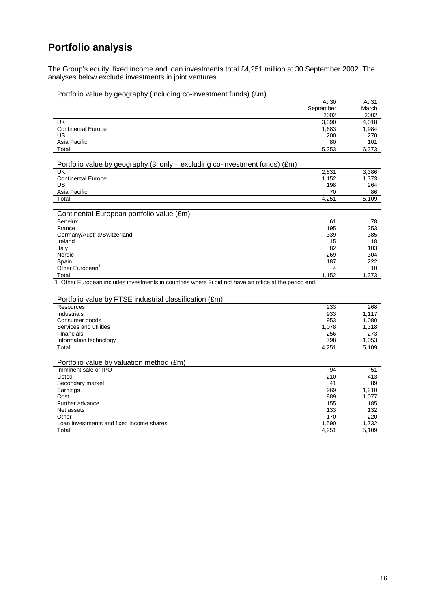# **Portfolio analysis**

The Group's equity, fixed income and loan investments total £4,251 million at 30 September 2002. The analyses below exclude investments in joint ventures.

| Portfolio value by geography (including co-investment funds) (£m)                                     |           |       |
|-------------------------------------------------------------------------------------------------------|-----------|-------|
|                                                                                                       | At 30     | At 31 |
|                                                                                                       | September | March |
|                                                                                                       | 2002      | 2002  |
| <b>UK</b>                                                                                             | 3.390     | 4.018 |
| <b>Continental Europe</b>                                                                             | 1,683     | 1,984 |
| US                                                                                                    | 200       | 270   |
| Asia Pacific                                                                                          | 80        | 101   |
| Total                                                                                                 | 5,353     | 6,373 |
|                                                                                                       |           |       |
| Portfolio value by geography (3i only - excluding co-investment funds) (£m)                           |           |       |
| UK                                                                                                    | 2.831     | 3,386 |
| <b>Continental Europe</b>                                                                             | 1,152     | 1,373 |
| US                                                                                                    | 198       | 264   |
| Asia Pacific                                                                                          | 70        | 86    |
| Total                                                                                                 | 4,251     | 5,109 |
|                                                                                                       |           |       |
| Continental European portfolio value (£m)                                                             |           |       |
| <b>Benelux</b>                                                                                        | 61        | 78    |
| France                                                                                                | 195       | 253   |
| Germany/Austria/Switzerland                                                                           | 339       | 385   |
| Ireland                                                                                               | 15        | 18    |
| Italy                                                                                                 | 82        | 103   |
| Nordic                                                                                                | 269       | 304   |
| Spain                                                                                                 | 187       | 222   |
| Other European <sup>1</sup>                                                                           | 4         | 10    |
| Total                                                                                                 | 1,152     | 1,373 |
| 1 Other European includes investments in countries where 3i did not have an office at the period end. |           |       |
| Portfolio value by FTSE industrial classification (£m)                                                |           |       |
| <b>Resources</b>                                                                                      | 233       | 268   |
| <b>Industrials</b>                                                                                    | 933       | 1,117 |
| Consumer goods                                                                                        | 953       | 1,080 |
| Services and utilities                                                                                | 1,078     | 1,318 |
| <b>Financials</b>                                                                                     | 256       | 273   |
| Information technology                                                                                | 798       | 1,053 |
| Total                                                                                                 | 4,251     | 5,109 |
|                                                                                                       |           |       |
| Portfolio value by valuation method (£m)                                                              |           |       |
| Imminent sale or IPO                                                                                  | 94        | 51    |
| Listed                                                                                                | 210       | 413   |
| Secondary market                                                                                      | 41        | 89    |
| Earnings                                                                                              | 969       | 1,210 |
| Cost                                                                                                  | 889       | 1,077 |
| Further advance                                                                                       | 155       | 185   |
| Net assets                                                                                            | 133       | 132   |
| Other                                                                                                 | 170       | 220   |
| Loan investments and fixed income shares                                                              | 1,590     | 1,732 |
| Total                                                                                                 | 4,251     | 5,109 |

16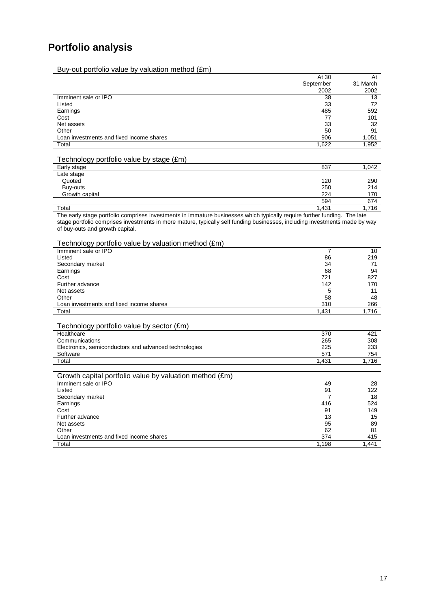# **Portfolio analysis**

| Buy-out portfolio value by valuation method (£m) |           |          |
|--------------------------------------------------|-----------|----------|
|                                                  | At 30     | At       |
|                                                  | September | 31 March |
|                                                  | 2002      | 2002     |
| Imminent sale or IPO                             | 38        | 13       |
| Listed                                           | 33        | 72       |
| Earnings                                         | 485       | 592      |
| Cost                                             | 77        | 101      |
| Net assets                                       | 33        | 32       |
| Other                                            | 50        | 91       |
| Loan investments and fixed income shares         | 906       | 1,051    |
| Total                                            | 1,622     | 1,952    |
|                                                  |           |          |
| Technology portfolio value by stage (£m)         |           |          |
| Early stage                                      | 837       | 1,042    |
| Late stage                                       |           |          |
| Quoted                                           | 120       | 290      |
| Buy-outs                                         | 250       | 214      |
| Growth capital                                   | 224       | 170      |
|                                                  | 594       | 674      |

Total 1,431 1,716

The early stage portfolio comprises investments in immature businesses which typically require further funding. The late stage portfolio comprises investments in more mature, typically self funding businesses, including investments made by way of buy-outs and growth capital.

| Technology portfolio value by valuation method (£m)     |       |       |
|---------------------------------------------------------|-------|-------|
| Imminent sale or IPO                                    | 7     | 10    |
| Listed                                                  | 86    | 219   |
| Secondary market                                        | 34    | 71    |
| Earnings                                                | 68    | 94    |
| Cost                                                    | 721   | 827   |
| Further advance                                         | 142   | 170   |
| Net assets                                              | 5     | 11    |
| Other                                                   | 58    | 48    |
| Loan investments and fixed income shares                | 310   | 266   |
| Total                                                   | 1,431 | 1,716 |
|                                                         |       |       |
| Technology portfolio value by sector (£m)               |       |       |
| Healthcare                                              | 370   | 421   |
| Communications                                          | 265   | 308   |
| Electronics, semiconductors and advanced technologies   | 225   | 233   |
| Software                                                | 571   | 754   |
| Total                                                   | 1,431 | 1,716 |
|                                                         |       |       |
| Growth capital portfolio value by valuation method (£m) |       |       |
| Imminent sale or IPO                                    | 49    | 28    |
| Listed                                                  | 91    | 122   |
| Secondary market                                        | 7     | 18    |
| Earnings                                                | 416   | 524   |
| Cost                                                    | 91    | 149   |
| Further advance                                         | 13    | 15    |
| Net assets                                              | 95    | 89    |
| Other                                                   | 62    | 81    |
| Loan investments and fixed income shares                | 374   | 415   |
| Total                                                   | 1,198 | 1,441 |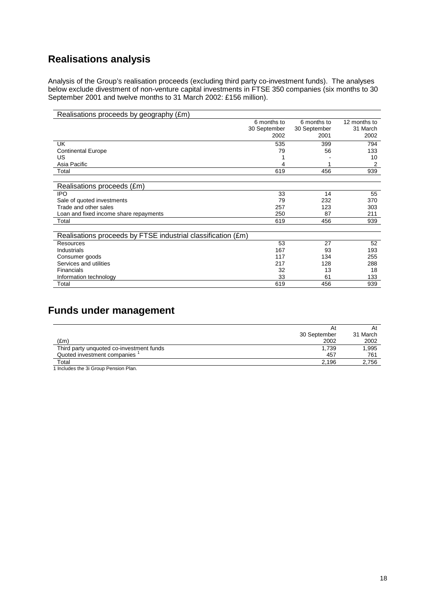# **Realisations analysis**

Analysis of the Group's realisation proceeds (excluding third party co-investment funds). The analyses below exclude divestment of non-venture capital investments in FTSE 350 companies (six months to 30 September 2001 and twelve months to 31 March 2002: £156 million).

| Realisations proceeds by geography (£m)                      |              |              |              |
|--------------------------------------------------------------|--------------|--------------|--------------|
|                                                              | 6 months to  | 6 months to  | 12 months to |
|                                                              | 30 September | 30 September | 31 March     |
|                                                              | 2002         | 2001         | 2002         |
| <b>UK</b>                                                    | 535          | 399          | 794          |
| <b>Continental Europe</b>                                    | 79           | 56           | 133          |
| US                                                           |              |              | 10           |
| Asia Pacific                                                 |              |              | 2            |
| Total                                                        | 619          | 456          | 939          |
|                                                              |              |              |              |
| Realisations proceeds (£m)                                   |              |              |              |
| <b>IPO</b>                                                   | 33           | 14           | 55           |
| Sale of quoted investments                                   | 79           | 232          | 370          |
| Trade and other sales                                        | 257          | 123          | 303          |
| Loan and fixed income share repayments                       | 250          | 87           | 211          |
| Total                                                        | 619          | 456          | 939          |
|                                                              |              |              |              |
| Realisations proceeds by FTSE industrial classification (£m) |              |              |              |
| <b>Resources</b>                                             | 53           | 27           | 52           |
| Industrials                                                  | 167          | 93           | 193          |
| Consumer goods                                               | 117          | 134          | 255          |
| Services and utilities                                       | 217          | 128          | 288          |
| Financials                                                   | 32           | 13           | 18           |
| Information technology                                       | 33           | 61           | 133          |
| Total                                                        | 619          | 456          | 939          |

# **Funds under management**

|                                          | At           | At       |
|------------------------------------------|--------------|----------|
|                                          | 30 September | 31 March |
| (£m)                                     | 2002         | 2002     |
| Third party unquoted co-investment funds | 1,739        | 1,995    |
| Quoted investment companies              | 457          | 761      |
| Total                                    | 2.196        | 2.756    |

1 Includes the 3i Group Pension Plan.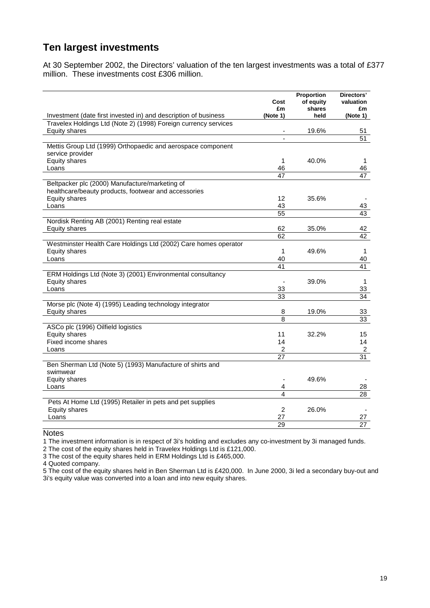# **Ten largest investments**

At 30 September 2002, the Directors' valuation of the ten largest investments was a total of £377 million. These investments cost £306 million.

|                                                                          | Cost                     | <b>Proportion</b><br>of equity | Directors'<br>valuation |
|--------------------------------------------------------------------------|--------------------------|--------------------------------|-------------------------|
| Investment (date first invested in) and description of business          | £m<br>(Note 1)           | shares<br>held                 | £m<br>(Note 1)          |
| Travelex Holdings Ltd (Note 2) (1998) Foreign currency services          |                          |                                |                         |
| <b>Equity shares</b>                                                     |                          | 19.6%                          | 51                      |
|                                                                          | $\blacksquare$           |                                | $\overline{51}$         |
| Mettis Group Ltd (1999) Orthopaedic and aerospace component              |                          |                                |                         |
| service provider                                                         |                          |                                |                         |
| Equity shares                                                            | $\mathbf 1$              | 40.0%                          | 1                       |
| Loans                                                                    | 46                       |                                | 46                      |
|                                                                          | 47                       |                                | 47                      |
| Beltpacker plc (2000) Manufacture/marketing of                           |                          |                                |                         |
| healthcare/beauty products, footwear and accessories                     |                          |                                |                         |
| Equity shares                                                            | 12 <sup>2</sup>          | 35.6%                          |                         |
| Loans                                                                    | 43                       |                                | 43                      |
|                                                                          | 55                       |                                | 43                      |
| Nordisk Renting AB (2001) Renting real estate                            |                          |                                |                         |
| Equity shares                                                            | 62                       | 35.0%                          | 42                      |
|                                                                          | 62                       |                                | $\overline{42}$         |
| Westminster Health Care Holdings Ltd (2002) Care homes operator          |                          |                                |                         |
| Equity shares                                                            | $\mathbf 1$              | 49.6%                          | $\mathbf{1}$            |
| Loans                                                                    | 40                       |                                | 40                      |
|                                                                          | 41                       |                                | 41                      |
| ERM Holdings Ltd (Note 3) (2001) Environmental consultancy               |                          |                                |                         |
| <b>Equity shares</b>                                                     |                          | 39.0%                          | 1                       |
| Loans                                                                    | 33<br>33                 |                                | 33<br>34                |
|                                                                          |                          |                                |                         |
| Morse plc (Note 4) (1995) Leading technology integrator<br>Equity shares | 8                        | 19.0%                          | 33                      |
|                                                                          | 8                        |                                | $\overline{33}$         |
| ASCo plc (1996) Oilfield logistics                                       |                          |                                |                         |
| Equity shares                                                            | 11                       | 32.2%                          | 15                      |
| Fixed income shares                                                      | 14                       |                                | 14                      |
| Loans                                                                    | $\overline{2}$           |                                | $\overline{2}$          |
|                                                                          | 27                       |                                | 31                      |
| Ben Sherman Ltd (Note 5) (1993) Manufacture of shirts and                |                          |                                |                         |
| swimwear                                                                 |                          |                                |                         |
| Equity shares                                                            | $\overline{\phantom{a}}$ | 49.6%                          |                         |
| Loans                                                                    | 4                        |                                | 28                      |
|                                                                          | 4                        |                                | 28                      |
| Pets At Home Ltd (1995) Retailer in pets and pet supplies                |                          |                                |                         |
| Equity shares                                                            | $\overline{2}$           | 26.0%                          |                         |
| Loans                                                                    | 27                       |                                | 27                      |
|                                                                          | 29                       |                                | 27                      |

**Notes** 

1 The investment information is in respect of 3i's holding and excludes any co-investment by 3i managed funds.

2 The cost of the equity shares held in Travelex Holdings Ltd is £121,000.

3 The cost of the equity shares held in ERM Holdings Ltd is £465,000.

4 Quoted company.

5 The cost of the equity shares held in Ben Sherman Ltd is £420,000. In June 2000, 3i led a secondary buy-out and 3i's equity value was converted into a loan and into new equity shares.